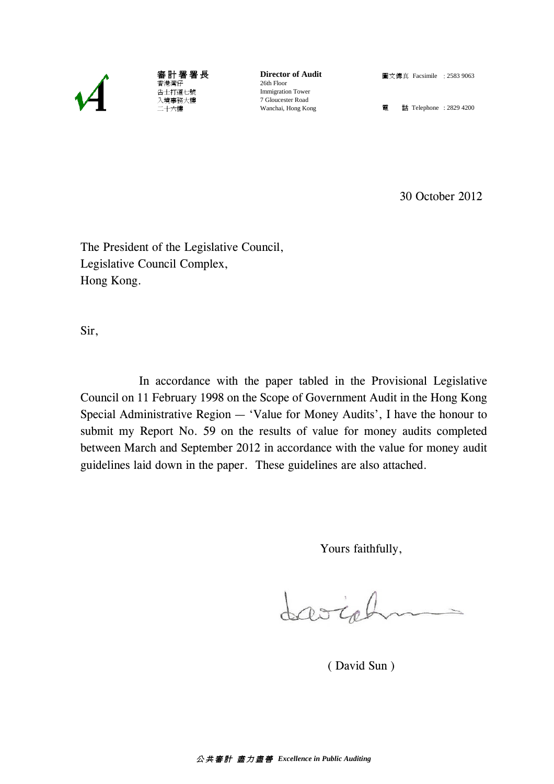

審 計 署 署 長 香港灣仔 告士打道七號 入境事務大樓 二十六樓

**Director of Audit** 26th Floor Immigration Tower 7 Gloucester Road Wanchai, Hong Kong

圖文傳真 Facsimile : 2583 9063

電 話 Telephone : 2829 4200

30 October 2012

The President of the Legislative Council, Legislative Council Complex, Hong Kong.

Sir,

In accordance with the paper tabled in the Provisional Legislative Council on 11 February 1998 on the Scope of Government Audit in the Hong Kong Special Administrative Region — 'Value for Money Audits', I have the honour to submit my Report No. 59 on the results of value for money audits completed between March and September 2012 in accordance with the value for money audit guidelines laid down in the paper. These guidelines are also attached.

Yours faithfully,

Josiah

( David Sun )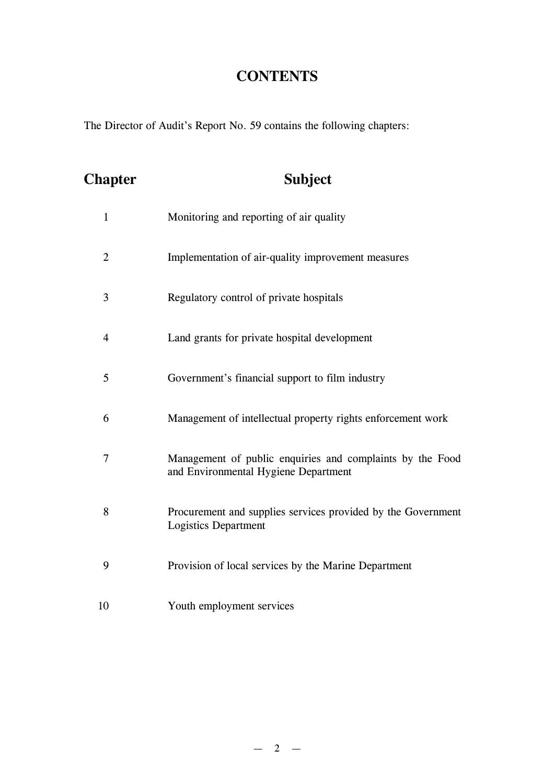## **CONTENTS**

The Director of Audit's Report No. 59 contains the following chapters:

| <b>Chapter</b> | <b>Subject</b>                                                                                    |
|----------------|---------------------------------------------------------------------------------------------------|
| $\mathbf{1}$   | Monitoring and reporting of air quality                                                           |
| $\overline{2}$ | Implementation of air-quality improvement measures                                                |
| 3              | Regulatory control of private hospitals                                                           |
| $\overline{4}$ | Land grants for private hospital development                                                      |
| 5              | Government's financial support to film industry                                                   |
| 6              | Management of intellectual property rights enforcement work                                       |
| $\overline{7}$ | Management of public enquiries and complaints by the Food<br>and Environmental Hygiene Department |
| 8              | Procurement and supplies services provided by the Government<br><b>Logistics Department</b>       |
| 9              | Provision of local services by the Marine Department                                              |
| 10             | Youth employment services                                                                         |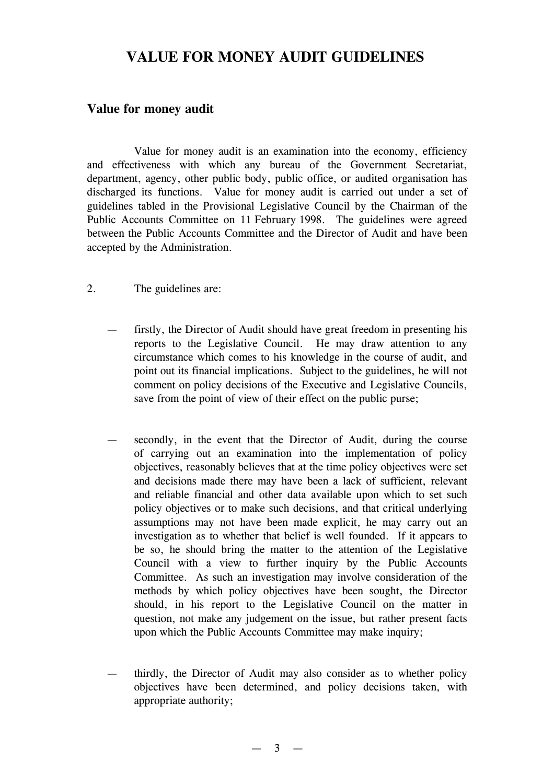## **VALUE FOR MONEY AUDIT GUIDELINES**

## **Value for money audit**

Value for money audit is an examination into the economy, efficiency and effectiveness with which any bureau of the Government Secretariat, department, agency, other public body, public office, or audited organisation has discharged its functions. Value for money audit is carried out under a set of guidelines tabled in the Provisional Legislative Council by the Chairman of the Public Accounts Committee on 11 February 1998. The guidelines were agreed between the Public Accounts Committee and the Director of Audit and have been accepted by the Administration.

- 2. The guidelines are:
	- firstly, the Director of Audit should have great freedom in presenting his reports to the Legislative Council. He may draw attention to any circumstance which comes to his knowledge in the course of audit, and point out its financial implications. Subject to the guidelines, he will not comment on policy decisions of the Executive and Legislative Councils, save from the point of view of their effect on the public purse;
	- secondly, in the event that the Director of Audit, during the course of carrying out an examination into the implementation of policy objectives, reasonably believes that at the time policy objectives were set and decisions made there may have been a lack of sufficient, relevant and reliable financial and other data available upon which to set such policy objectives or to make such decisions, and that critical underlying assumptions may not have been made explicit, he may carry out an investigation as to whether that belief is well founded. If it appears to be so, he should bring the matter to the attention of the Legislative Council with a view to further inquiry by the Public Accounts Committee. As such an investigation may involve consideration of the methods by which policy objectives have been sought, the Director should, in his report to the Legislative Council on the matter in question, not make any judgement on the issue, but rather present facts upon which the Public Accounts Committee may make inquiry;
	- thirdly, the Director of Audit may also consider as to whether policy objectives have been determined, and policy decisions taken, with appropriate authority;